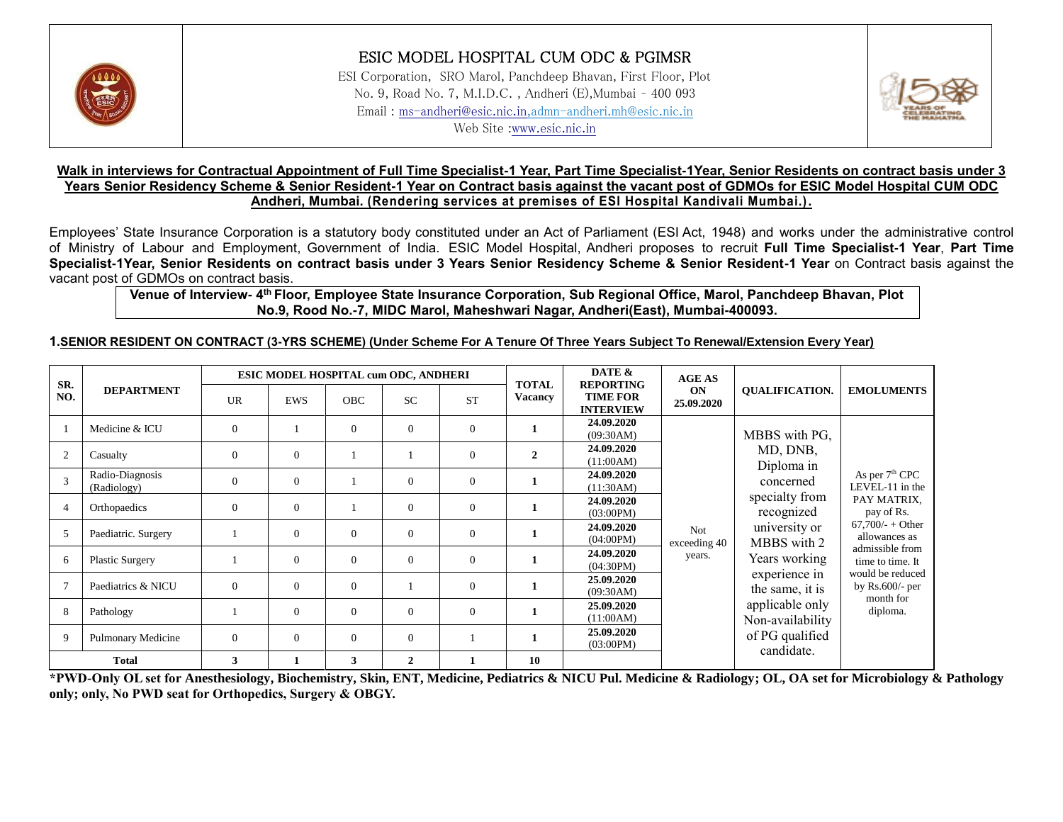

# ESIC MODEL HOSPITAL CUM ODC & PGIMSR

ESI Corporation, SRO Marol, Panchdeep Bhavan, First Floor, Plot No. 9, Road No. 7, M.I.D.C. , Andheri (E),Mumbai – 400 093 Email : [ms-andheri@esic.nic.in,](mailto:ms-andheri@esic.nic.in)admn-andheri.mh@esic.nic.in Web Site [:www.esic.nic.in](http://www.esic.nic.in/)



### **Walk in interviews for Contractual Appointment of Full Time Specialist-1 Year, Part Time Specialist-1Year, Senior Residents on contract basis under 3 Years Senior Residency Scheme & Senior Resident-1 Year on Contract basis against the vacant post of GDMOs for ESIC Model Hospital CUM ODC Andheri, Mumbai. (Rendering services at premises of ESI Hospital Kandivali Mumbai.).**

Employees' State Insurance Corporation is a statutory body constituted under an Act of Parliament (ESI Act, 1948) and works under the administrative control of Ministry of Labour and Employment, Government of India. ESIC Model Hospital, Andheri proposes to recruit **Full Time Specialist-1 Year**, **Part Time Specialist-1Year, Senior Residents on contract basis under 3 Years Senior Residency Scheme & Senior Resident-1 Year** on Contract basis against the vacant post of GDMOs on contract basis.

### **Venue of Interview- 4 th Floor, Employee State Insurance Corporation, Sub Regional Office, Marol, Panchdeep Bhavan, Plot No.9, Rood No.-7, MIDC Marol, Maheshwari Nagar, Andheri(East), Mumbai-400093.**

### **1.SENIOR RESIDENT ON CONTRACT (3-YRS SCHEME) (Under Scheme For A Tenure Of Three Years Subject To Renewal/Extension Every Year)**

| SR.            |                                |           | <b>ESIC MODEL HOSPITAL cum ODC, ANDHERI</b> |            |                |                | DATE &<br><b>TOTAL</b><br><b>REPORTING</b> |                                     | <b>AGE AS</b>       |                                     |                                                                                                                                                          |
|----------------|--------------------------------|-----------|---------------------------------------------|------------|----------------|----------------|--------------------------------------------|-------------------------------------|---------------------|-------------------------------------|----------------------------------------------------------------------------------------------------------------------------------------------------------|
| NO.            | <b>DEPARTMENT</b>              | <b>UR</b> | <b>EWS</b>                                  | <b>OBC</b> | <b>SC</b>      | <b>ST</b>      | <b>Vacancy</b>                             | <b>TIME FOR</b><br><b>INTERVIEW</b> | ON<br>25.09.2020    | <b>QUALIFICATION.</b>               | <b>EMOLUMENTS</b>                                                                                                                                        |
|                | Medicine & ICU                 | $\Omega$  |                                             | $\Omega$   | $\mathbf{0}$   | $\overline{0}$ | 1                                          | 24.09.2020<br>(09:30AM)             |                     | MBBS with PG,                       |                                                                                                                                                          |
| $\overline{2}$ | Casualty                       | $\Omega$  | $\theta$                                    |            |                | $\theta$       | $\mathbf{2}$                               | 24.09.2020<br>(11:00AM)             |                     | MD, DNB,<br>Diploma in              |                                                                                                                                                          |
|                | Radio-Diagnosis<br>(Radiology) | $\Omega$  | $\theta$                                    |            | $\Omega$       | $\Omega$       |                                            | 24.09.2020<br>(11:30AM)             |                     | concerned                           | As per 7 <sup>th</sup> CPC<br>LEVEL-11 in the<br>PAY MATRIX,<br>pay of Rs.<br>$67,700/- + Other$<br>allowances as<br>admissible from<br>time to time. It |
|                | Orthopaedics                   | $\Omega$  | $\theta$                                    |            | $\Omega$       | $\Omega$       |                                            | 24.09.2020<br>(03:00PM)             |                     | specialty from<br>recognized        |                                                                                                                                                          |
| 5              | Paediatric. Surgery            |           | $\overline{0}$                              | $\Omega$   | $\theta$       | $\theta$       |                                            | 24.09.2020<br>(04:00PM)             | Not<br>exceeding 40 | university or<br>MBBS with 2        |                                                                                                                                                          |
| 6              | <b>Plastic Surgery</b>         |           | $\theta$                                    | $\Omega$   | $\Omega$       | $\Omega$       |                                            | 24.09.2020<br>(04:30PM)             | years.              | Years working                       |                                                                                                                                                          |
|                | Paediatrics & NICU             | $\theta$  | $\theta$                                    | $\Omega$   |                | $\Omega$       |                                            | 25.09.2020<br>(09:30AM)             |                     | experience in<br>the same, it is    | would be reduced<br>by $Rs.600$ /- per<br>month for                                                                                                      |
| 8              | Pathology                      |           | $\overline{0}$                              | $\Omega$   | $\mathbf{0}$   | $\Omega$       |                                            | 25.09.2020<br>(11:00AM)             |                     | applicable only<br>Non-availability | diploma.                                                                                                                                                 |
| 9              | <b>Pulmonary Medicine</b>      | $\theta$  | $\theta$                                    | $\Omega$   | $\Omega$       |                |                                            | 25.09.2020<br>(03:00PM)             |                     | of PG qualified<br>candidate.       |                                                                                                                                                          |
|                | <b>Total</b>                   | 3         |                                             | 3          | $\overline{2}$ | 1              | 10                                         |                                     |                     |                                     |                                                                                                                                                          |

**\*PWD-Only OL set for Anesthesiology, Biochemistry, Skin, ENT, Medicine, Pediatrics & NICU Pul. Medicine & Radiology; OL, OA set for Microbiology & Pathology only; only, No PWD seat for Orthopedics, Surgery & OBGY.**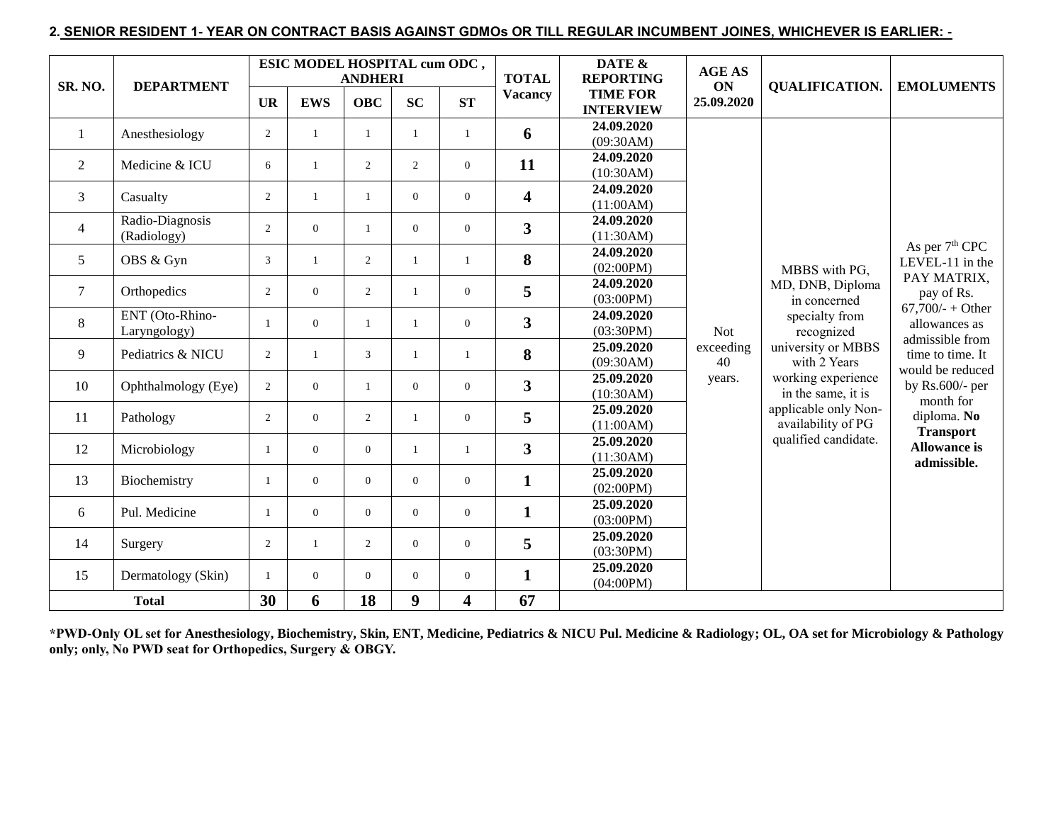### **2. SENIOR RESIDENT 1- YEAR ON CONTRACT BASIS AGAINST GDMOs OR TILL REGULAR INCUMBENT JOINES, WHICHEVER IS EARLIER: -**

| SR. NO.        | <b>DEPARTMENT</b>               |                | ESIC MODEL HOSPITAL cum ODC, | <b>ANDHERI</b> |                |                | <b>TOTAL</b>            | DATE &<br><b>REPORTING</b>          | <b>AGE AS</b><br>ON | <b>QUALIFICATION.</b>                      | <b>EMOLUMENTS</b>                                     |  |
|----------------|---------------------------------|----------------|------------------------------|----------------|----------------|----------------|-------------------------|-------------------------------------|---------------------|--------------------------------------------|-------------------------------------------------------|--|
|                |                                 | <b>UR</b>      | <b>EWS</b>                   | <b>OBC</b>     | SC             | ST             | <b>Vacancy</b>          | <b>TIME FOR</b><br><b>INTERVIEW</b> | 25.09.2020          |                                            |                                                       |  |
| -1             | Anesthesiology                  | $\overline{c}$ | $\mathbf{1}$                 | $\mathbf{1}$   | 1              | $\mathbf{1}$   | 6                       | 24.09.2020<br>(09:30AM)             |                     |                                            |                                                       |  |
| $\overline{2}$ | Medicine & ICU                  | 6              | $\mathbf{1}$                 | $\overline{2}$ | $\overline{2}$ | $\overline{0}$ | 11                      | 24.09.2020<br>(10:30AM)             |                     |                                            |                                                       |  |
| $\overline{3}$ | Casualty                        | 2              | $\mathbf{1}$                 | $\mathbf{1}$   | $\Omega$       | $\overline{0}$ | $\overline{\mathbf{4}}$ | 24.09.2020<br>(11:00AM)             |                     |                                            |                                                       |  |
| $\overline{4}$ | Radio-Diagnosis<br>(Radiology)  | 2              | $\overline{0}$               | 1              | $\overline{0}$ | $\overline{0}$ | $\overline{\mathbf{3}}$ | 24.09.2020<br>(11:30AM)             |                     |                                            |                                                       |  |
| 5              | OBS & Gyn                       | 3              | $\mathbf{1}$                 | 2              | $\mathbf{1}$   | $\mathbf{1}$   | 8                       | 24.09.2020<br>(02:00PM)             |                     | MBBS with PG,                              | As per 7 <sup>th</sup> CPC<br>LEVEL-11 in the         |  |
| $\overline{7}$ | Orthopedics                     | $\overline{2}$ | $\overline{0}$               | $\overline{2}$ | 1              | $\overline{0}$ | 5                       | 24.09.2020<br>(03:00PM)             |                     | MD, DNB, Diploma<br>in concerned           | PAY MATRIX,<br>pay of Rs.                             |  |
| 8              | ENT (Oto-Rhino-<br>Laryngology) |                | $\overline{0}$               | $\mathbf{1}$   | $\mathbf{1}$   | $\overline{0}$ | $\overline{\mathbf{3}}$ | 24.09.2020<br>(03:30PM)             | <b>Not</b>          | specialty from<br>recognized               | $67,700/ +$ Other<br>allowances as<br>admissible from |  |
| 9              | Pediatrics & NICU               | 2              | 1                            | 3              | $\mathbf{1}$   | 1              | 8                       | 25.09.2020<br>(09:30AM)             | exceeding<br>40     | university or MBBS<br>with 2 Years         | time to time. It<br>would be reduced                  |  |
| 10             | Ophthalmology (Eye)             | $\overline{2}$ | $\overline{0}$               | $\mathbf{1}$   | $\overline{0}$ | $\overline{0}$ | $\overline{\mathbf{3}}$ | 25.09.2020<br>(10:30AM)             | years.              | working experience<br>in the same, it is   | by $Rs.600$ /- per<br>month for                       |  |
| 11             | Pathology                       | 2              | $\overline{0}$               | 2              | $\mathbf{1}$   | $\overline{0}$ | 5                       | 25.09.2020<br>(11:00AM)             |                     | applicable only Non-<br>availability of PG | diploma. No<br><b>Transport</b>                       |  |
| 12             | Microbiology                    | -1             | $\overline{0}$               | $\overline{0}$ | $\mathbf{1}$   | $\mathbf{1}$   | $\overline{\mathbf{3}}$ | 25.09.2020<br>(11:30AM)             |                     | qualified candidate.                       | <b>Allowance is</b><br>admissible.                    |  |
| 13             | Biochemistry                    | $\overline{1}$ | $\overline{0}$               | $\overline{0}$ | $\overline{0}$ | $\overline{0}$ | $\mathbf{1}$            | 25.09.2020<br>(02:00PM)             |                     |                                            |                                                       |  |
| 6              | Pul. Medicine                   | $\overline{1}$ | $\overline{0}$               | $\overline{0}$ | $\overline{0}$ | $\overline{0}$ | $\mathbf{1}$            | 25.09.2020<br>(03:00PM)             |                     |                                            |                                                       |  |
| 14             | Surgery                         | $\overline{2}$ | $\mathbf{1}$                 | 2              | $\overline{0}$ | $\overline{0}$ | 5                       | 25.09.2020<br>(03:30PM)             |                     |                                            |                                                       |  |
| 15             | Dermatology (Skin)              | $\overline{1}$ | $\overline{0}$               | $\theta$       | $\Omega$       | $\overline{0}$ | $\mathbf{1}$            | 25.09.2020<br>(04:00PM)             |                     |                                            |                                                       |  |
|                | <b>Total</b>                    | 30             | 6                            | 18             | 9              | 4              | 67                      |                                     |                     |                                            |                                                       |  |

**\*PWD-Only OL set for Anesthesiology, Biochemistry, Skin, ENT, Medicine, Pediatrics & NICU Pul. Medicine & Radiology; OL, OA set for Microbiology & Pathology only; only, No PWD seat for Orthopedics, Surgery & OBGY.**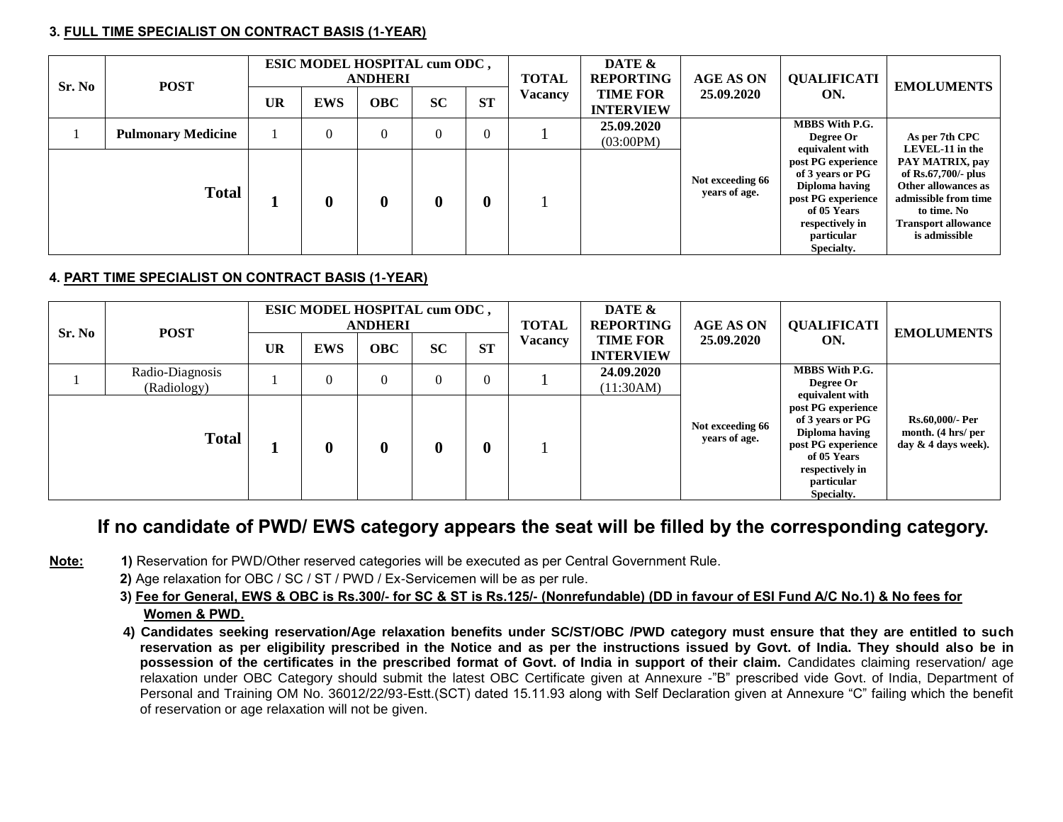### **3. FULL TIME SPECIALIST ON CONTRACT BASIS (1-YEAR)**

| Sr. No | <b>POST</b>               | ESIC MODEL HOSPITAL cum ODC,<br><b>ANDHERI</b> |              |                                                                                       |           |                                                                                                                                              | <b>TOTAL</b>                                                                                                                                                           | DATE &<br><b>REPORTING</b>          | <b>AGE AS ON</b> | <b>QUALIFICATI</b>                                    | <b>EMOLUMENTS</b> |  |
|--------|---------------------------|------------------------------------------------|--------------|---------------------------------------------------------------------------------------|-----------|----------------------------------------------------------------------------------------------------------------------------------------------|------------------------------------------------------------------------------------------------------------------------------------------------------------------------|-------------------------------------|------------------|-------------------------------------------------------|-------------------|--|
|        |                           |                                                | <b>EWS</b>   | <b>OBC</b>                                                                            | <b>SC</b> | <b>ST</b>                                                                                                                                    | <b>Vacancy</b>                                                                                                                                                         | <b>TIME FOR</b><br><b>INTERVIEW</b> | 25.09.2020       | ON.                                                   |                   |  |
|        | <b>Pulmonary Medicine</b> |                                                | $\mathbf{0}$ | $\Omega$                                                                              | $\Omega$  | $\theta$                                                                                                                                     |                                                                                                                                                                        | 25.09.2020<br>(03:00PM)             |                  | <b>MBBS</b> With P.G.<br>Degree Or<br>equivalent with | As per 7th CPC    |  |
|        | <b>Total</b>              |                                                | 0            | Not exceeding 66<br>years of age.<br>$\bf{0}$<br>$\boldsymbol{0}$<br>$\boldsymbol{0}$ |           | post PG experience<br>of 3 years or PG<br>Diploma having<br>post PG experience<br>of 05 Years<br>respectively in<br>particular<br>Specialty. | LEVEL-11 in the<br>PAY MATRIX, pay<br>of Rs.67,700/- plus<br>Other allowances as<br>admissible from time<br>to time. No<br><b>Transport allowance</b><br>is admissible |                                     |                  |                                                       |                   |  |

# **4. PART TIME SPECIALIST ON CONTRACT BASIS (1-YEAR)**

| Sr. No | <b>POST</b>                    | ESIC MODEL HOSPITAL cum ODC,<br><b>ANDHERI</b>                  |                  |          |                  |                                     | <b>TOTAL</b> | DATE &<br><b>REPORTING</b> | <b>AGE AS ON</b>                  | <b>QUALIFICATI</b>                                                                                                                           | <b>EMOLUMENTS</b>                                                      |
|--------|--------------------------------|-----------------------------------------------------------------|------------------|----------|------------------|-------------------------------------|--------------|----------------------------|-----------------------------------|----------------------------------------------------------------------------------------------------------------------------------------------|------------------------------------------------------------------------|
|        |                                | <b>ST</b><br><b>SC</b><br><b>OBC</b><br><b>UR</b><br><b>EWS</b> |                  |          | <b>Vacancy</b>   | <b>TIME FOR</b><br><b>INTERVIEW</b> | 25.09.2020   | ON.                        |                                   |                                                                                                                                              |                                                                        |
|        | Radio-Diagnosis<br>(Radiology) |                                                                 | 0                | $\Omega$ | $\theta$         | $\theta$                            |              | 24.09.2020<br>(11:30AM)    |                                   | <b>MBBS With P.G.</b><br>Degree Or<br>equivalent with                                                                                        |                                                                        |
|        | <b>Total</b>                   |                                                                 | $\boldsymbol{0}$ | $\bf{0}$ | $\boldsymbol{0}$ | $\boldsymbol{0}$                    |              |                            | Not exceeding 66<br>years of age. | post PG experience<br>of 3 years or PG<br>Diploma having<br>post PG experience<br>of 05 Years<br>respectively in<br>particular<br>Specialty. | <b>Rs.60,000/- Per</b><br>month. (4 hrs/ per<br>day $\&$ 4 days week). |

# **If no candidate of PWD/ EWS category appears the seat will be filled by the corresponding category.**

- **Note: 1)** Reservation for PWD/Other reserved categories will be executed as per Central Government Rule.
	- **2)** Age relaxation for OBC / SC / ST / PWD / Ex-Servicemen will be as per rule.
	- **3) Fee for General, EWS & OBC is Rs.300/- for SC & ST is Rs.125/- (Nonrefundable) (DD in favour of ESI Fund A/C No.1) & No fees for Women & PWD.**
	- **4) Candidates seeking reservation/Age relaxation benefits under SC/ST/OBC /PWD category must ensure that they are entitled to such reservation as per eligibility prescribed in the Notice and as per the instructions issued by Govt. of India. They should also be in**  possession of the certificates in the prescribed format of Govt. of India in support of their claim. Candidates claiming reservation/ age relaxation under OBC Category should submit the latest OBC Certificate given at Annexure -"B" prescribed vide Govt. of India, Department of Personal and Training OM No. 36012/22/93-Estt.(SCT) dated 15.11.93 along with Self Declaration given at Annexure "C" failing which the benefit of reservation or age relaxation will not be given.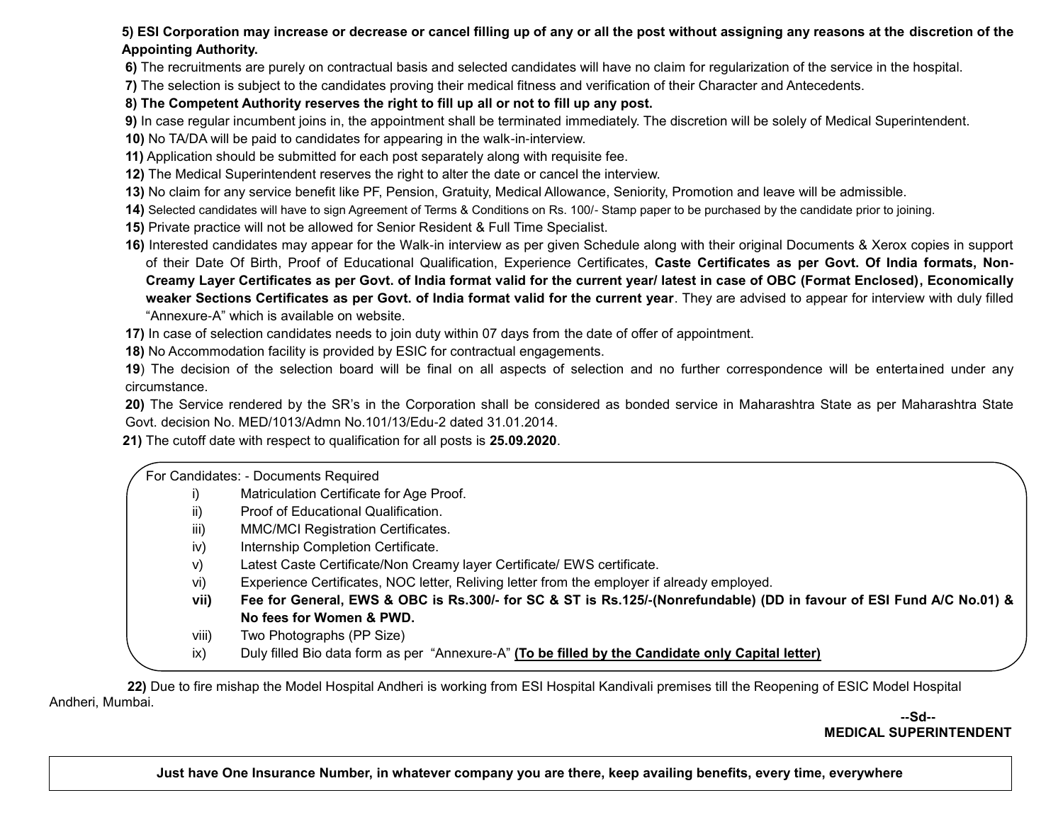# **5) ESI Corporation may increase or decrease or cancel filling up of any or all the post without assigning any reasons at the discretion of the Appointing Authority.**

**6)** The recruitments are purely on contractual basis and selected candidates will have no claim for regularization of the service in the hospital.

**7)** The selection is subject to the candidates proving their medical fitness and verification of their Character and Antecedents.

# **8) The Competent Authority reserves the right to fill up all or not to fill up any post.**

**9)** In case regular incumbent joins in, the appointment shall be terminated immediately. The discretion will be solely of Medical Superintendent.

- **10)** No TA/DA will be paid to candidates for appearing in the walk-in-interview.
- **11)** Application should be submitted for each post separately along with requisite fee.
- **12)** The Medical Superintendent reserves the right to alter the date or cancel the interview.
- **13)** No claim for any service benefit like PF, Pension, Gratuity, Medical Allowance, Seniority, Promotion and leave will be admissible.
- **14)** Selected candidates will have to sign Agreement of Terms & Conditions on Rs. 100/- Stamp paper to be purchased by the candidate prior to joining.
- **15)** Private practice will not be allowed for Senior Resident & Full Time Specialist.
- **16)** Interested candidates may appear for the Walk-in interview as per given Schedule along with their original Documents & Xerox copies in support of their Date Of Birth, Proof of Educational Qualification, Experience Certificates, **Caste Certificates as per Govt. Of India formats, Non-Creamy Layer Certificates as per Govt. of India format valid for the current year/ latest in case of OBC (Format Enclosed), Economically weaker Sections Certificates as per Govt. of India format valid for the current year**. They are advised to appear for interview with duly filled "Annexure-A" which is available on website.
- **17)** In case of selection candidates needs to join duty within 07 days from the date of offer of appointment.
- **18)** No Accommodation facility is provided by ESIC for contractual engagements.

**19**) The decision of the selection board will be final on all aspects of selection and no further correspondence will be entertained under any circumstance.

**20)** The Service rendered by the SR's in the Corporation shall be considered as bonded service in Maharashtra State as per Maharashtra State Govt. decision No. MED/1013/Admn No.101/13/Edu-2 dated 31.01.2014.

 **21)** The cutoff date with respect to qualification for all posts is **25.09.2020**.

For Candidates: - Documents Required

- i) Matriculation Certificate for Age Proof.
- ii) Proof of Educational Qualification.
- iii) MMC/MCI Registration Certificates.
- iv) Internship Completion Certificate.
- v) Latest Caste Certificate/Non Creamy layer Certificate/ EWS certificate.
- vi) Experience Certificates, NOC letter, Reliving letter from the employer if already employed.
- **vii) Fee for General, EWS & OBC is Rs.300/- for SC & ST is Rs.125/-(Nonrefundable) (DD in favour of ESI Fund A/C No.01) & No fees for Women & PWD.**
- viii) Two Photographs (PP Size)
- ix) Duly filled Bio data form as per "Annexure-A" **(To be filled by the Candidate only Capital letter)**

j  **22)** Due to fire mishap the Model Hospital Andheri is working from ESI Hospital Kandivali premises till the Reopening of ESIC Model Hospital Andheri, Mumbai.

**--Sd-- MEDICAL SUPERINTENDENT**

**Just have One Insurance Number, in whatever company you are there, keep availing benefits, every time, everywhere**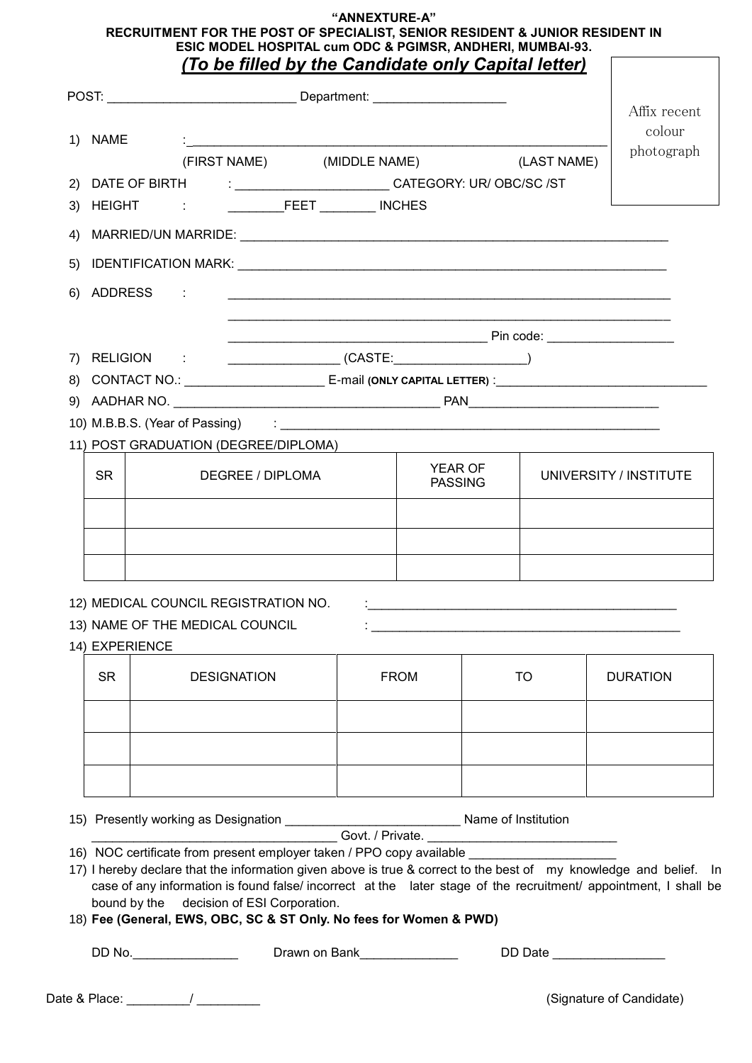#### **"ANNEXTURE-A" RECRUITMENT FOR THE POST OF SPECIALIST, SENIOR RESIDENT & JUNIOR RESIDENT IN** ESIC MODEL HOSPITAL cum ODC & PGIMSR, ANDHERI, MUMBAI-93.<br>(To be filled by the Candidate only Canital letter)  $\overline{a}$ *(To be filled by the Candidate only Capital letter)*

|                               |                                                                                                                    |                                                                                                                       |           | Affix recent<br>colour |
|-------------------------------|--------------------------------------------------------------------------------------------------------------------|-----------------------------------------------------------------------------------------------------------------------|-----------|------------------------|
| 1) NAME                       | (FIRST NAME) (MIDDLE NAME) (LAST NAME)                                                                             |                                                                                                                       |           | photograph             |
|                               | 2) DATE OF BIRTH : _________________________CATEGORY: UR/ OBC/SC /ST                                               |                                                                                                                       |           |                        |
| 3)                            |                                                                                                                    |                                                                                                                       |           |                        |
| 4)                            |                                                                                                                    |                                                                                                                       |           |                        |
| 5)                            |                                                                                                                    |                                                                                                                       |           |                        |
| <b>ADDRESS</b><br>6)          |                                                                                                                    | <u> 1989 - Johann Barn, amerikan bernama di sebagai bernama di sebagai bernama di sebagai bernama di sebagai bern</u> |           |                        |
|                               |                                                                                                                    |                                                                                                                       |           |                        |
|                               |                                                                                                                    |                                                                                                                       |           |                        |
|                               | 8) CONTACT NO.: __________________________E-mail (ONLY CAPITAL LETTER) :____________________________               |                                                                                                                       |           |                        |
|                               |                                                                                                                    |                                                                                                                       |           |                        |
|                               |                                                                                                                    |                                                                                                                       |           |                        |
|                               | 11) POST GRADUATION (DEGREE/DIPLOMA)                                                                               |                                                                                                                       |           |                        |
| <b>SR</b><br>DEGREE / DIPLOMA |                                                                                                                    | <b>YEAR OF</b><br><b>PASSING</b>                                                                                      |           | UNIVERSITY / INSTITUTE |
|                               |                                                                                                                    |                                                                                                                       |           |                        |
|                               |                                                                                                                    |                                                                                                                       |           |                        |
|                               | 12) MEDICAL COUNCIL REGISTRATION NO.                                                                               |                                                                                                                       |           |                        |
|                               | 13) NAME OF THE MEDICAL COUNCIL                                                                                    |                                                                                                                       |           |                        |
| 14) EXPERIENCE                |                                                                                                                    |                                                                                                                       |           |                        |
| <b>SR</b>                     | <b>DESIGNATION</b>                                                                                                 | <b>FROM</b>                                                                                                           | <b>TO</b> | <b>DURATION</b>        |
|                               |                                                                                                                    |                                                                                                                       |           |                        |
|                               |                                                                                                                    |                                                                                                                       |           |                        |
|                               |                                                                                                                    |                                                                                                                       |           |                        |
|                               | 16) NOC certificate from present employer taken / PPO copy available                                               |                                                                                                                       |           |                        |
|                               |                                                                                                                    |                                                                                                                       |           |                        |
|                               | 17) I hereby declare that the information given above is true & correct to the best of my knowledge and belief. In |                                                                                                                       |           |                        |

DD No.\_\_\_\_\_\_\_\_\_\_\_\_\_\_\_\_\_\_\_\_\_\_ Drawn on Bank\_\_\_\_\_\_\_\_\_\_\_\_\_\_\_\_\_\_\_\_\_\_\_\_\_\_DD Date \_\_\_\_\_\_\_\_\_\_\_\_\_\_\_\_\_\_\_\_\_\_

Date & Place: \_\_\_\_\_\_\_\_\_/ \_\_\_\_\_\_\_\_\_ (Signature of Candidate)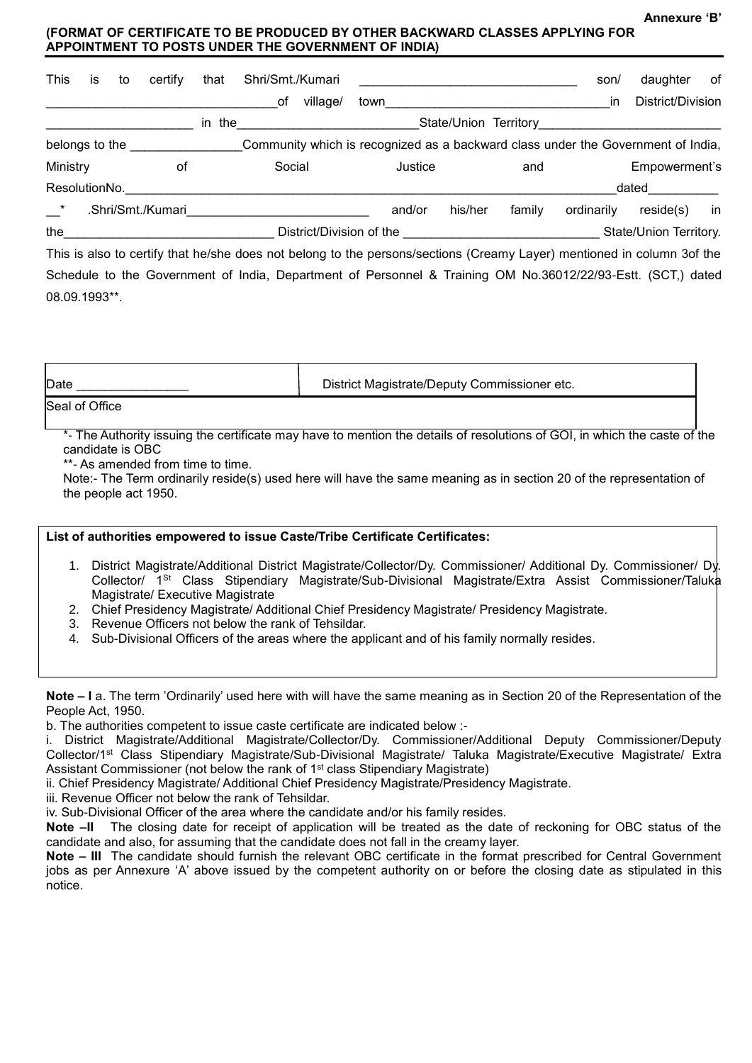**Annexure 'B'**

### **(FORMAT OF CERTIFICATE TO BE PRODUCED BY OTHER BACKWARD CLASSES APPLYING FOR APPOINTMENT TO POSTS UNDER THE GOVERNMENT OF INDIA)**

| İS       | to | certify       | that              | Shri/Smt./Kumari                                                                                                |      |                                                                                                                                   |        |         | son/       | daughter                                                                                                                                                                                                                       | of                                                                                                                                                                                                                                                                                                                                                    |
|----------|----|---------------|-------------------|-----------------------------------------------------------------------------------------------------------------|------|-----------------------------------------------------------------------------------------------------------------------------------|--------|---------|------------|--------------------------------------------------------------------------------------------------------------------------------------------------------------------------------------------------------------------------------|-------------------------------------------------------------------------------------------------------------------------------------------------------------------------------------------------------------------------------------------------------------------------------------------------------------------------------------------------------|
|          |    |               |                   | оf                                                                                                              | town |                                                                                                                                   |        |         | in         | District/Division                                                                                                                                                                                                              |                                                                                                                                                                                                                                                                                                                                                       |
|          |    |               |                   |                                                                                                                 |      |                                                                                                                                   |        |         |            |                                                                                                                                                                                                                                |                                                                                                                                                                                                                                                                                                                                                       |
|          |    |               |                   |                                                                                                                 |      |                                                                                                                                   |        |         |            |                                                                                                                                                                                                                                |                                                                                                                                                                                                                                                                                                                                                       |
| Ministry |    | оf            |                   | Social                                                                                                          |      |                                                                                                                                   |        | and     |            | Empowerment's                                                                                                                                                                                                                  |                                                                                                                                                                                                                                                                                                                                                       |
|          |    |               |                   |                                                                                                                 |      |                                                                                                                                   |        |         |            |                                                                                                                                                                                                                                |                                                                                                                                                                                                                                                                                                                                                       |
|          |    |               |                   |                                                                                                                 |      |                                                                                                                                   |        | family  | ordinarily | reside(s)                                                                                                                                                                                                                      | in                                                                                                                                                                                                                                                                                                                                                    |
|          |    |               |                   |                                                                                                                 |      |                                                                                                                                   |        |         |            |                                                                                                                                                                                                                                |                                                                                                                                                                                                                                                                                                                                                       |
|          |    | ResolutionNo. | .Shri/Smt./Kumari | belongs to the state of the state of the state of the state of the state of the state of the state of the state |      | village/<br>in the <u>the series of the series of the series of the series of the series of the series of the series of the s</u> | and/or | Justice | his/her    | District/Division of the District of the Second Second Second Second Second Second Second Second Second Second Second Second Second Second Second Second Second Second Second Second Second Second Second Second Second Second | State/Union Territory and the state of the state of the state of the state of the state of the state of the state of the state of the state of the state of the state of the state of the state of the state of the state of t<br>Community which is recognized as a backward class under the Government of India,<br>dated<br>State/Union Territory. |

This is also to certify that he/she does not belong to the persons/sections (Creamy Layer) mentioned in column 3of the Schedule to the Government of India, Department of Personnel & Training OM No.36012/22/93-Estt. (SCT,) dated 08.09.1993\*\*.

| Date           | District Magistrate/Deputy Commissioner etc. |
|----------------|----------------------------------------------|
| Seal of Office |                                              |

Seal of Office

\*- The Authority issuing the certificate may have to mention the details of resolutions of GOI, in which the caste of the candidate is OBC

\*\*- As amended from time to time.

Note:- The Term ordinarily reside(s) used here will have the same meaning as in section 20 of the representation of the people act 1950.

# **List of authorities empowered to issue Caste/Tribe Certificate Certificates:** 1. District Magistrate/Additional District Magistrate/Collector/Dy. Commissioner/ Additional Dy. Commissioner/ Dy. Collector/ 1St Class Stipendiary Magistrate/Sub-Divisional Magistrate/Extra Assist Commissioner/Taluka Magistrate/ Executive Magistrate

- 2. Chief Presidency Magistrate/ Additional Chief Presidency Magistrate/ Presidency Magistrate.
- 3. Revenue Officers not below the rank of Tehsildar.
- 4. Sub-Divisional Officers of the areas where the applicant and of his family normally resides.

**Note – I** a. The term 'Ordinarily' used here with will have the same meaning as in Section 20 of the Representation of the People Act, 1950.

b. The authorities competent to issue caste certificate are indicated below :-

i. District Magistrate/Additional Magistrate/Collector/Dy. Commissioner/Additional Deputy Commissioner/Deputy Collector/1st Class Stipendiary Magistrate/Sub-Divisional Magistrate/ Taluka Magistrate/Executive Magistrate/ Extra Assistant Commissioner (not below the rank of 1st class Stipendiary Magistrate)

ii. Chief Presidency Magistrate/ Additional Chief Presidency Magistrate/Presidency Magistrate.

iii. Revenue Officer not below the rank of Tehsildar.

iv. Sub-Divisional Officer of the area where the candidate and/or his family resides.

**Note –II** The closing date for receipt of application will be treated as the date of reckoning for OBC status of the candidate and also, for assuming that the candidate does not fall in the creamy layer.

**Note – III** The candidate should furnish the relevant OBC certificate in the format prescribed for Central Government jobs as per Annexure 'A' above issued by the competent authority on or before the closing date as stipulated in this notice.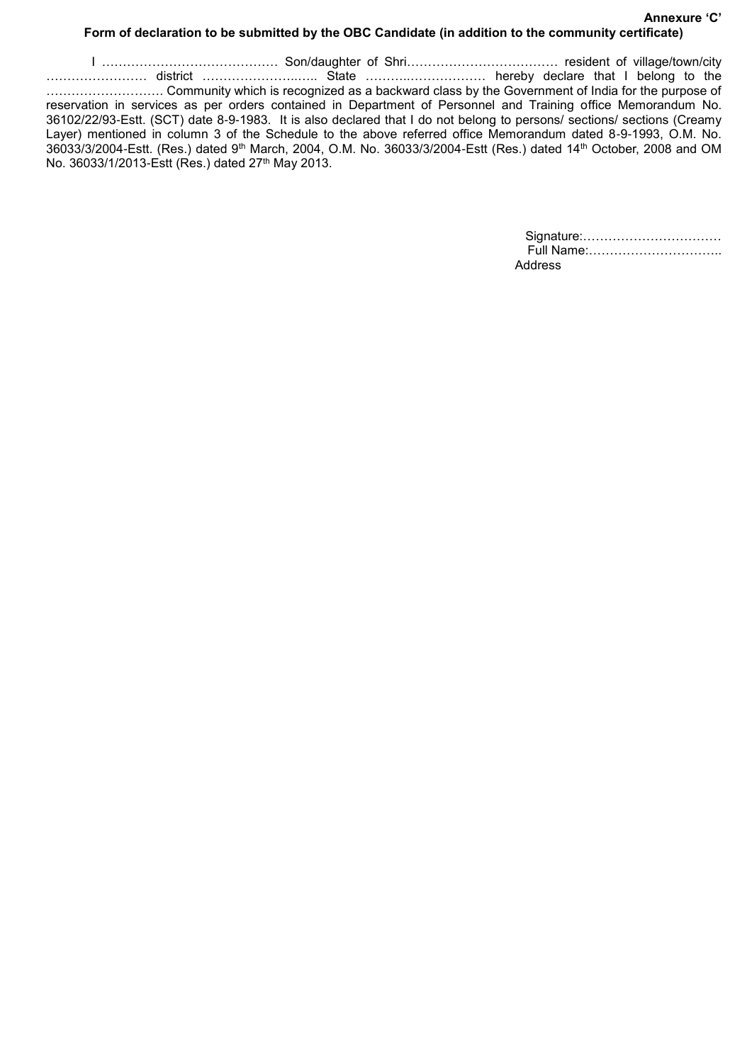### **Annexure 'C' Form of declaration to be submitted by the OBC Candidate (in addition to the community certificate)**

I …………………………………… Son/daughter of Shri……………………………… resident of village/town/city …………………… district …………………..….. State ………..……………… hereby declare that I belong to the ………………………. Community which is recognized as a backward class by the Government of India for the purpose of reservation in services as per orders contained in Department of Personnel and Training office Memorandum No. 36102/22/93-Estt. (SCT) date 8-9-1983. It is also declared that I do not belong to persons/ sections/ sections (Creamy Layer) mentioned in column 3 of the Schedule to the above referred office Memorandum dated 8-9-1993, O.M. No. 36033/3/2004-Estt. (Res.) dated 9th March, 2004, O.M. No. 36033/3/2004-Estt (Res.) dated 14th October, 2008 and OM No. 36033/1/2013-Estt (Res.) dated 27th May 2013.

| Full Name: |  |
|------------|--|
| Address    |  |